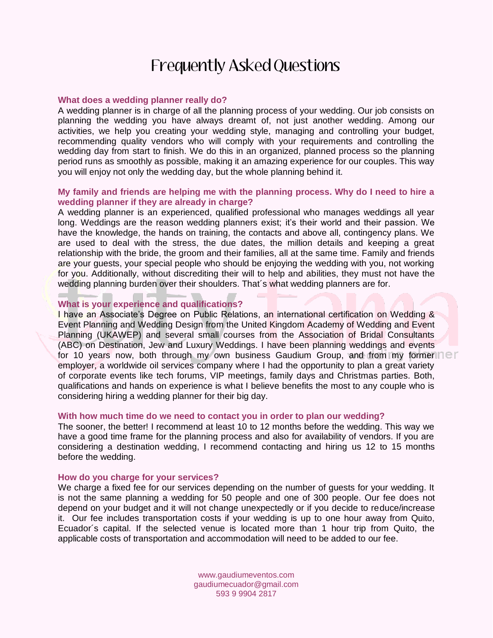# Frequently Asked Questions

## **What does a wedding planner really do?**

A wedding planner is in charge of all the planning process of your wedding. Our job consists on planning the wedding you have always dreamt of, not just another wedding. Among our activities, we help you creating your wedding style, managing and controlling your budget, recommending quality vendors who will comply with your requirements and controlling the wedding day from start to finish. We do this in an organized, planned process so the planning period runs as smoothly as possible, making it an amazing experience for our couples. This way you will enjoy not only the wedding day, but the whole planning behind it.

# **My family and friends are helping me with the planning process. Why do I need to hire a wedding planner if they are already in charge?**

A wedding planner is an experienced, qualified professional who manages weddings all year long. Weddings are the reason wedding planners exist; it's their world and their passion. We have the knowledge, the hands on training, the contacts and above all, contingency plans. We are used to deal with the stress, the due dates, the million details and keeping a great relationship with the bride, the groom and their families, all at the same time. Family and friends are your guests, your special people who should be enjoying the wedding with you, not working for you. Additionally, without discrediting their will to help and abilities, they must not have the wedding planning burden over their shoulders. That´s what wedding planners are for.

### **What is your experience and qualifications?**

I have an Associate's Degree on Public Relations, an international certification on Wedding & Event Planning and Wedding Design from the United Kingdom Academy of Wedding and Event Planning (UKAWEP) and several small courses from the Association of Bridal Consultants (ABC) on Destination, Jew and Luxury Weddings. I have been planning weddings and events for 10 years now, both through my own business Gaudium Group, and from my former  $\Box$ employer, a worldwide oil services company where I had the opportunity to plan a great variety of corporate events like tech forums, VIP meetings, family days and Christmas parties. Both, qualifications and hands on experience is what I believe benefits the most to any couple who is considering hiring a wedding planner for their big day.

#### **With how much time do we need to contact you in order to plan our wedding?**

The sooner, the better! I recommend at least 10 to 12 months before the wedding. This way we have a good time frame for the planning process and also for availability of vendors. If you are considering a destination wedding, I recommend contacting and hiring us 12 to 15 months before the wedding.

#### **How do you charge for your services?**

We charge a fixed fee for our services depending on the number of guests for your wedding. It is not the same planning a wedding for 50 people and one of 300 people. Our fee does not depend on your budget and it will not change unexpectedly or if you decide to reduce/increase it. Our fee includes transportation costs if your wedding is up to one hour away from Quito, Ecuador´s capital. If the selected venue is located more than 1 hour trip from Quito, the applicable costs of transportation and accommodation will need to be added to our fee.

> www.gaudiumeventos.com gaudiumecuador@gmail.com 593 9 9904 2817